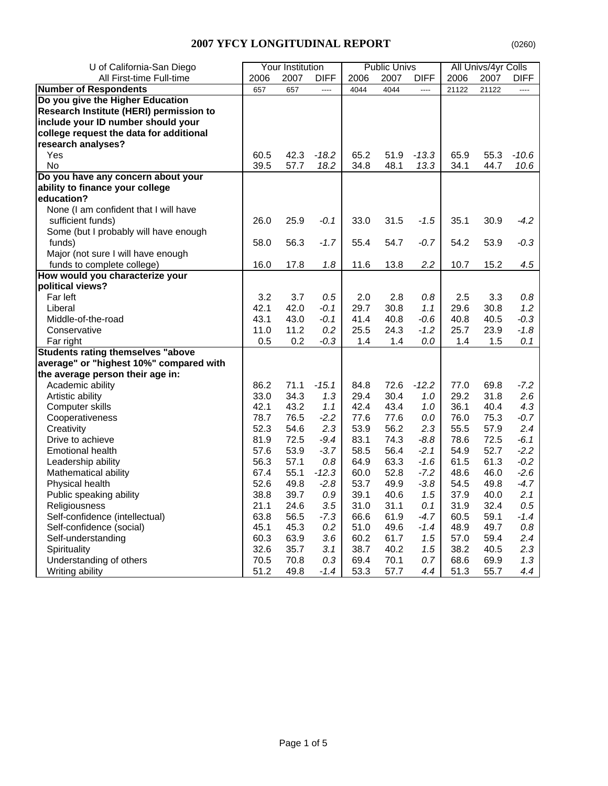| U of California-San Diego                |      | <b>Your Institution</b> |             |      | <b>Public Univs</b> |                |       | All Univs/4yr Colls |             |
|------------------------------------------|------|-------------------------|-------------|------|---------------------|----------------|-------|---------------------|-------------|
| All First-time Full-time                 | 2006 | 2007                    | <b>DIFF</b> | 2006 | 2007                | <b>DIFF</b>    | 2006  | 2007                | <b>DIFF</b> |
| <b>Number of Respondents</b>             | 657  | 657                     | ----        | 4044 | 4044                | $\overline{a}$ | 21122 | 21122               | $---$       |
| Do you give the Higher Education         |      |                         |             |      |                     |                |       |                     |             |
| Research Institute (HERI) permission to  |      |                         |             |      |                     |                |       |                     |             |
| include your ID number should your       |      |                         |             |      |                     |                |       |                     |             |
| college request the data for additional  |      |                         |             |      |                     |                |       |                     |             |
| research analyses?                       |      |                         |             |      |                     |                |       |                     |             |
| Yes                                      | 60.5 | 42.3                    | $-18.2$     | 65.2 | 51.9                | $-13.3$        | 65.9  | 55.3                | $-10.6$     |
| No                                       | 39.5 | 57.7                    | 18.2        | 34.8 | 48.1                | 13.3           | 34.1  | 44.7                | 10.6        |
| Do you have any concern about your       |      |                         |             |      |                     |                |       |                     |             |
| ability to finance your college          |      |                         |             |      |                     |                |       |                     |             |
| education?                               |      |                         |             |      |                     |                |       |                     |             |
| None (I am confident that I will have    |      |                         |             |      |                     |                |       |                     |             |
| sufficient funds)                        | 26.0 | 25.9                    | $-0.1$      | 33.0 | 31.5                | $-1.5$         | 35.1  | 30.9                | $-4.2$      |
| Some (but I probably will have enough    |      |                         |             |      |                     |                |       |                     |             |
| funds)                                   | 58.0 | 56.3                    | $-1.7$      | 55.4 | 54.7                | $-0.7$         | 54.2  | 53.9                | $-0.3$      |
| Major (not sure I will have enough       |      |                         |             |      |                     |                |       |                     |             |
| funds to complete college)               | 16.0 | 17.8                    | 1.8         | 11.6 | 13.8                | 2.2            | 10.7  | 15.2                | 4.5         |
| How would you characterize your          |      |                         |             |      |                     |                |       |                     |             |
| political views?                         |      |                         |             |      |                     |                |       |                     |             |
| Far left                                 | 3.2  | 3.7                     | 0.5         | 2.0  | 2.8                 | 0.8            | 2.5   | 3.3                 | 0.8         |
| Liberal                                  | 42.1 | 42.0                    | $-0.1$      | 29.7 | 30.8                | 1.1            | 29.6  | 30.8                | 1.2         |
| Middle-of-the-road                       | 43.1 | 43.0                    | $-0.1$      | 41.4 | 40.8                | $-0.6$         | 40.8  | 40.5                | $-0.3$      |
| Conservative                             | 11.0 | 11.2                    | 0.2         | 25.5 | 24.3                | $-1.2$         | 25.7  | 23.9                | -1.8        |
| Far right                                | 0.5  | 0.2                     | $-0.3$      | 1.4  | 1.4                 | 0.0            | 1.4   | 1.5                 | 0.1         |
| <b>Students rating themselves "above</b> |      |                         |             |      |                     |                |       |                     |             |
| average" or "highest 10%" compared with  |      |                         |             |      |                     |                |       |                     |             |
| the average person their age in:         |      |                         |             |      |                     |                |       |                     |             |
| Academic ability                         | 86.2 | 71.1                    | $-15.1$     | 84.8 | 72.6                | $-12.2$        | 77.0  | 69.8                | $-7.2$      |
| Artistic ability                         | 33.0 | 34.3                    | 1.3         | 29.4 | 30.4                | 1.0            | 29.2  | 31.8                | 2.6         |
| Computer skills                          | 42.1 | 43.2                    | 1.1         | 42.4 | 43.4                | 1.0            | 36.1  | 40.4                | 4.3         |
| Cooperativeness                          | 78.7 | 76.5                    | $-2.2$      | 77.6 | 77.6                | 0.0            | 76.0  | 75.3                | $-0.7$      |
| Creativity                               | 52.3 | 54.6                    | 2.3         | 53.9 | 56.2                | 2.3            | 55.5  | 57.9                | 2.4         |
| Drive to achieve                         | 81.9 | 72.5                    | $-9.4$      | 83.1 | 74.3                | $-8.8$         | 78.6  | 72.5                | $-6.1$      |
| <b>Emotional health</b>                  | 57.6 | 53.9                    | $-3.7$      | 58.5 | 56.4                | $-2.1$         | 54.9  | 52.7                | $-2.2$      |
| Leadership ability                       | 56.3 | 57.1                    | 0.8         | 64.9 | 63.3                | $-1.6$         | 61.5  | 61.3                | $-0.2$      |
| Mathematical ability                     | 67.4 | 55.1                    | $-12.3$     | 60.0 | 52.8                | $-7.2$         | 48.6  | 46.0                | $-2.6$      |
| Physical health                          | 52.6 | 49.8                    | $-2.8$      | 53.7 | 49.9                | $-3.8$         | 54.5  | 49.8                | $-4.7$      |
| Public speaking ability                  | 38.8 | 39.7                    | 0.9         | 39.1 | 40.6                | 1.5            | 37.9  | 40.0                | 2.1         |
| Religiousness                            | 21.1 | 24.6                    | 3.5         | 31.0 | 31.1                | 0.1            | 31.9  | 32.4                | 0.5         |
| Self-confidence (intellectual)           | 63.8 | 56.5                    | $-7.3$      | 66.6 | 61.9                | $-4.7$         | 60.5  | 59.1                | $-1.4$      |
| Self-confidence (social)                 | 45.1 | 45.3                    | 0.2         | 51.0 | 49.6                | $-1.4$         | 48.9  | 49.7                | 0.8         |
| Self-understanding                       | 60.3 | 63.9                    | 3.6         | 60.2 | 61.7                | 1.5            | 57.0  | 59.4                | 2.4         |
| Spirituality                             | 32.6 | 35.7                    | 3.1         | 38.7 | 40.2                | 1.5            | 38.2  | 40.5                | 2.3         |
| Understanding of others                  | 70.5 | 70.8                    | 0.3         | 69.4 | 70.1                | 0.7            | 68.6  | 69.9                | 1.3         |
| Writing ability                          | 51.2 | 49.8                    | $-1.4$      | 53.3 | 57.7                | 4.4            | 51.3  | 55.7                | 4.4         |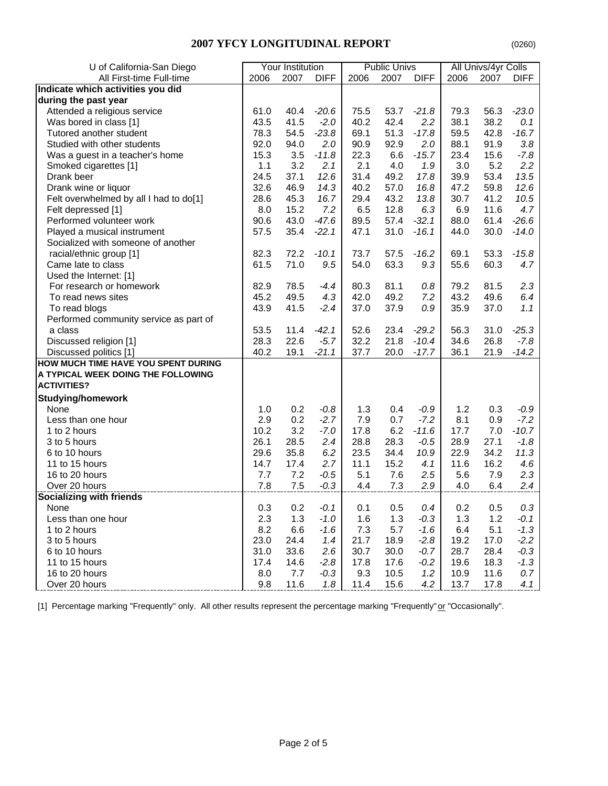| U of California-San Diego                                     | Your Institution |              |                   | <b>Public Univs</b> |      | All Univs/4yr Colls |              |              |                   |
|---------------------------------------------------------------|------------------|--------------|-------------------|---------------------|------|---------------------|--------------|--------------|-------------------|
| All First-time Full-time                                      | 2006             | 2007         | <b>DIFF</b>       | 2006                | 2007 | <b>DIFF</b>         | 2006         | 2007         | <b>DIFF</b>       |
| Indicate which activities you did                             |                  |              |                   |                     |      |                     |              |              |                   |
| during the past year                                          |                  |              |                   |                     |      |                     |              |              |                   |
| Attended a religious service                                  | 61.0             | 40.4         | $-20.6$           | 75.5                | 53.7 | $-21.8$             | 79.3         | 56.3         | $-23.0$           |
| Was bored in class [1]                                        | 43.5             | 41.5         | $-2.0$            | 40.2                | 42.4 | 2.2                 | 38.1         | 38.2         | 0.1               |
| Tutored another student                                       | 78.3             | 54.5         | $-23.8$           | 69.1                | 51.3 | $-17.8$             | 59.5         | 42.8         | $-16.7$           |
| Studied with other students                                   | 92.0             | 94.0         | 2.0               | 90.9                | 92.9 | 2.0                 | 88.1         | 91.9         | 3.8               |
| Was a guest in a teacher's home                               | 15.3             | 3.5          | $-11.8$           | 22.3                | 6.6  | $-15.7$             | 23.4         | 15.6         | $-7.8$            |
| Smoked cigarettes [1]                                         | 1.1              | 3.2          | 2.1               | 2.1                 | 4.0  | 1.9                 | 3.0          | 5.2          | 2.2               |
| Drank beer                                                    | 24.5             | 37.1         | 12.6              | 31.4                | 49.2 | 17.8                | 39.9         | 53.4         | 13.5              |
| Drank wine or liquor                                          | 32.6             | 46.9         | 14.3              | 40.2                | 57.0 | 16.8                | 47.2         | 59.8         | 12.6              |
| Felt overwhelmed by all I had to do[1]                        | 28.6             | 45.3         | 16.7              | 29.4                | 43.2 | 13.8                | 30.7         | 41.2         | 10.5              |
| Felt depressed [1]                                            | 8.0              | 15.2         | 7.2               | 6.5                 | 12.8 | 6.3                 | 6.9          | 11.6         | 4.7               |
| Performed volunteer work                                      | 90.6             | 43.0         | $-47.6$           | 89.5                | 57.4 | $-32.1$             | 88.0         | 61.4         | $-26.6$           |
| Played a musical instrument                                   | 57.5             | 35.4         | $-22.1$           | 47.1                | 31.0 | $-16.1$             | 44.0         | 30.0         | $-14.0$           |
| Socialized with someone of another                            |                  |              |                   |                     |      |                     |              |              |                   |
| racial/ethnic group [1]                                       | 82.3             | 72.2         | $-10.1$           | 73.7                | 57.5 | $-16.2$             | 69.1         | 53.3         | $-15.8$           |
| Came late to class                                            | 61.5             | 71.0         | 9.5               | 54.0                | 63.3 | 9.3                 | 55.6         | 60.3         | 4.7               |
| Used the Internet: [1]                                        |                  |              |                   |                     |      |                     |              |              |                   |
| For research or homework                                      | 82.9             | 78.5         | $-4.4$            | 80.3                | 81.1 | 0.8                 | 79.2         | 81.5         | 2.3               |
| To read news sites                                            | 45.2             | 49.5         | 4.3               | 42.0                | 49.2 | 7.2                 | 43.2         | 49.6         | 6.4               |
| To read blogs                                                 | 43.9             | 41.5         | $-2.4$            | 37.0                | 37.9 | 0.9                 | 35.9         | 37.0         | 1.1               |
| Performed community service as part of                        |                  |              |                   |                     |      |                     |              |              |                   |
|                                                               | 53.5             | 11.4         | $-42.1$           |                     | 23.4 | $-29.2$             | 56.3         |              | $-25.3$           |
| a class                                                       |                  |              |                   | 52.6                |      |                     |              | 31.0         |                   |
| Discussed religion [1]                                        | 28.3<br>40.2     | 22.6<br>19.1 | $-5.7$<br>$-21.1$ | 32.2<br>37.7        | 21.8 | $-10.4$<br>$-17.7$  | 34.6<br>36.1 | 26.8<br>21.9 | $-7.8$<br>$-14.2$ |
| Discussed politics [1]<br>HOW MUCH TIME HAVE YOU SPENT DURING |                  |              |                   |                     | 20.0 |                     |              |              |                   |
| A TYPICAL WEEK DOING THE FOLLOWING                            |                  |              |                   |                     |      |                     |              |              |                   |
| <b>ACTIVITIES?</b>                                            |                  |              |                   |                     |      |                     |              |              |                   |
|                                                               |                  |              |                   |                     |      |                     |              |              |                   |
| <b>Studying/homework</b>                                      |                  |              |                   |                     |      |                     |              |              |                   |
| None                                                          | 1.0              | 0.2          | $-0.8$            | 1.3                 | 0.4  | $-0.9$              | 1.2          | 0.3          | $-0.9$            |
| Less than one hour                                            | 2.9              | 0.2          | $-2.7$            | 7.9                 | 0.7  | $-7.2$              | 8.1          | 0.9          | $-7.2$            |
| 1 to 2 hours                                                  | 10.2             | 3.2          | $-7.0$            | 17.8                | 6.2  | $-11.6$             | 17.7         | 7.0          | $-10.7$           |
| 3 to 5 hours                                                  | 26.1             | 28.5         | 2.4               | 28.8                | 28.3 | $-0.5$              | 28.9         | 27.1         | $-1.8$            |
| 6 to 10 hours                                                 | 29.6             | 35.8         | 6.2               | 23.5                | 34.4 | 10.9                | 22.9         | 34.2         | 11.3              |
| 11 to 15 hours                                                | 14.7             | 17.4         | 2.7               | 11.1                | 15.2 | 4.1                 | 11.6         | 16.2         | 4.6               |
| 16 to 20 hours                                                | 7.7              | 7.2          | $-0.5$            | 5.1                 | 7.6  | 2.5                 | 5.6          | 7.9          | 2.3               |
| Over 20 hours                                                 | 7.8              | 7.5          | $-0.3$            | 4.4                 | 7.3  | 2.9                 | 4.0          | 6.4          | 2.4               |
| <b>Socializing with friends</b>                               |                  |              |                   |                     |      |                     |              |              |                   |
| None                                                          | 0.3              | 0.2          | $-0.1$            | 0.1                 | 0.5  | 0.4                 | 0.2          | 0.5          | 0.3               |
| Less than one hour                                            | 2.3              | 1.3          | $-1.0$            | 1.6                 | 1.3  | $-0.3$              | 1.3          | 1.2          | $-0.1$            |
| 1 to 2 hours                                                  | 8.2              | 6.6          | $-1.6$            | 7.3                 | 5.7  | $-1.6$              | 6.4          | 5.1          | $-1.3$            |
| 3 to 5 hours                                                  | 23.0             | 24.4         | 1.4               | 21.7                | 18.9 | $-2.8$              | 19.2         | 17.0         | $-2.2$            |
| 6 to 10 hours                                                 | 31.0             | 33.6         | 2.6               | 30.7                | 30.0 | $-0.7$              | 28.7         | 28.4         | $-0.3$            |
| 11 to 15 hours                                                | 17.4             | 14.6         | $-2.8$            | 17.8                | 17.6 | $-0.2$              | 19.6         | 18.3         | $-1.3$            |
| 16 to 20 hours                                                | 8.0              | 7.7          | $-0.3$            | 9.3                 | 10.5 | 1.2                 | 10.9         | 11.6         | 0.7               |
| Over 20 hours                                                 | 9.8              | 11.6         | 1.8               | 11.4                | 15.6 | 4.2                 | 13.7         | 17.8         | 4.1               |

[1] Percentage marking "Frequently" only. All other results represent the percentage marking "Frequently" or "Occasionally".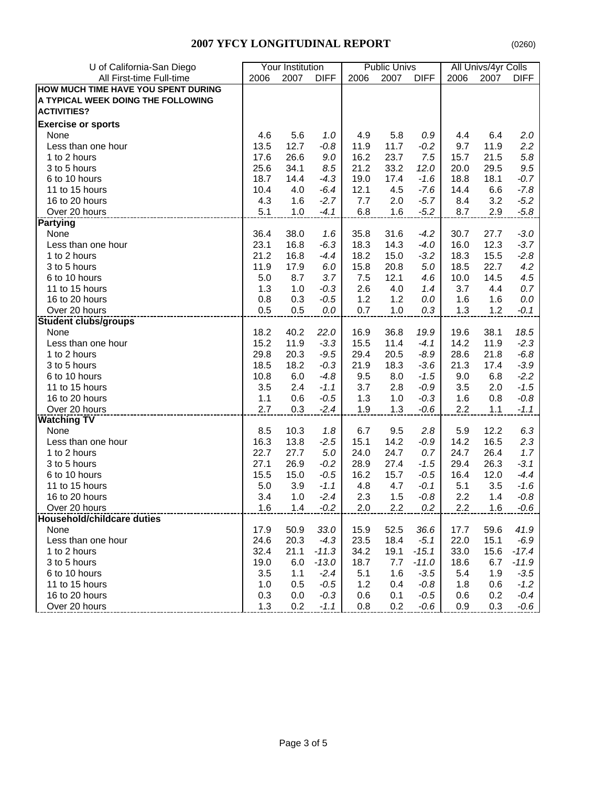| U of California-San Diego           |      | <b>Your Institution</b> |             |      | <b>Public Univs</b> |             |      | All Univs/4yr Colls |             |
|-------------------------------------|------|-------------------------|-------------|------|---------------------|-------------|------|---------------------|-------------|
| All First-time Full-time            | 2006 | 2007                    | <b>DIFF</b> | 2006 | 2007                | <b>DIFF</b> | 2006 | 2007                | <b>DIFF</b> |
| HOW MUCH TIME HAVE YOU SPENT DURING |      |                         |             |      |                     |             |      |                     |             |
| A TYPICAL WEEK DOING THE FOLLOWING  |      |                         |             |      |                     |             |      |                     |             |
| <b>ACTIVITIES?</b>                  |      |                         |             |      |                     |             |      |                     |             |
| <b>Exercise or sports</b>           |      |                         |             |      |                     |             |      |                     |             |
| None                                | 4.6  | 5.6                     | 1.0         | 4.9  | 5.8                 | 0.9         | 4.4  | 6.4                 | 2.0         |
| Less than one hour                  | 13.5 | 12.7                    | $-0.8$      | 11.9 | 11.7                | $-0.2$      | 9.7  | 11.9                | 2.2         |
| 1 to 2 hours                        | 17.6 | 26.6                    | 9.0         | 16.2 | 23.7                | 7.5         | 15.7 | 21.5                | 5.8         |
| 3 to 5 hours                        | 25.6 | 34.1                    | 8.5         | 21.2 | 33.2                | 12.0        | 20.0 | 29.5                | 9.5         |
| 6 to 10 hours                       | 18.7 | 14.4                    | $-4.3$      | 19.0 | 17.4                | $-1.6$      | 18.8 | 18.1                | $-0.7$      |
| 11 to 15 hours                      | 10.4 | 4.0                     | $-6.4$      | 12.1 | 4.5                 | $-7.6$      | 14.4 | 6.6                 | $-7.8$      |
| 16 to 20 hours                      | 4.3  | 1.6                     | $-2.7$      | 7.7  | 2.0                 | $-5.7$      | 8.4  | 3.2                 | $-5.2$      |
| Over 20 hours                       | 5.1  | 1.0                     | $-4.1$      | 6.8  | 1.6                 | $-5.2$      | 8.7  | 2.9                 | $-5.8$      |
| <b>Partying</b>                     |      |                         |             |      |                     |             |      |                     |             |
| None                                | 36.4 | 38.0                    | 1.6         | 35.8 | 31.6                | $-4.2$      | 30.7 | 27.7                | $-3.0$      |
| Less than one hour                  | 23.1 | 16.8                    | $-6.3$      | 18.3 | 14.3                | $-4.0$      | 16.0 | 12.3                | $-3.7$      |
| 1 to 2 hours                        | 21.2 | 16.8                    | $-4.4$      | 18.2 | 15.0                | $-3.2$      | 18.3 | 15.5                | $-2.8$      |
| 3 to 5 hours                        | 11.9 | 17.9                    | 6.0         | 15.8 | 20.8                | 5.0         | 18.5 | 22.7                | 4.2         |
| 6 to 10 hours                       | 5.0  | 8.7                     | 3.7         | 7.5  | 12.1                | 4.6         | 10.0 | 14.5                | 4.5         |
| 11 to 15 hours                      | 1.3  | 1.0                     | $-0.3$      | 2.6  | 4.0                 | 1.4         | 3.7  | 4.4                 | $0.7\,$     |
| 16 to 20 hours                      | 0.8  | 0.3                     | $-0.5$      | 1.2  | 1.2                 | 0.0         | 1.6  | 1.6                 | 0.0         |
| Over 20 hours                       | 0.5  | 0.5                     | 0.0         | 0.7  | 1.0                 | 0.3         | 1.3  | 1.2                 | $-0.1$      |
| <b>Student clubs/groups</b>         |      |                         |             |      |                     |             |      |                     |             |
| None                                | 18.2 | 40.2                    | 22.0        | 16.9 | 36.8                | 19.9        | 19.6 | 38.1                | 18.5        |
| Less than one hour                  | 15.2 | 11.9                    | $-3.3$      | 15.5 | 11.4                | $-4.1$      | 14.2 | 11.9                | $-2.3$      |
| 1 to 2 hours                        | 29.8 | 20.3                    | $-9.5$      | 29.4 | 20.5                | $-8.9$      | 28.6 | 21.8                | $-6.8$      |
| 3 to 5 hours                        | 18.5 | 18.2                    | $-0.3$      | 21.9 | 18.3                | $-3.6$      | 21.3 | 17.4                | $-3.9$      |
| 6 to 10 hours                       | 10.8 | 6.0                     | $-4.8$      | 9.5  | 8.0                 | $-1.5$      | 9.0  | 6.8                 | $-2.2$      |
| 11 to 15 hours                      | 3.5  | 2.4                     | $-1.1$      | 3.7  | 2.8                 | $-0.9$      | 3.5  | 2.0                 | $-1.5$      |
| 16 to 20 hours                      | 1.1  | 0.6                     | $-0.5$      | 1.3  | 1.0                 | $-0.3$      | 1.6  | 0.8                 | $-0.8$      |
| Over 20 hours                       | 2.7  | 0.3                     | $-2.4$      | 1.9  | 1.3                 | $-0.6$      | 2.2  | 1.1                 | $-1.1$      |
| <b>Watching TV</b>                  |      |                         |             |      |                     |             |      |                     |             |
| None                                | 8.5  | 10.3                    | 1.8         | 6.7  | 9.5                 | 2.8         | 5.9  | 12.2                | 6.3         |
| Less than one hour                  | 16.3 | 13.8                    | $-2.5$      | 15.1 | 14.2                | $-0.9$      | 14.2 | 16.5                | 2.3         |
| 1 to 2 hours                        | 22.7 | 27.7                    | $5.0\,$     | 24.0 | 24.7                | 0.7         | 24.7 | 26.4                | 1.7         |
| 3 to 5 hours                        | 27.1 | 26.9                    | $-0.2$      | 28.9 | 27.4                | $-1.5$      | 29.4 | 26.3                | $-3.1$      |
| 6 to 10 hours                       | 15.5 | 15.0                    | $-0.5$      | 16.2 | 15.7                | $-0.5$      | 16.4 | 12.0                | $-4.4$      |
| 11 to 15 hours                      | 5.0  | 3.9                     | $-1.1$      | 4.8  | 4.7                 | $-0.1$      | 5.1  | 3.5                 | $-1.6$      |
| 16 to 20 hours                      | 3.4  | 1.0                     | $-2.4$      | 2.3  | 1.5                 | $-0.8$      | 2.2  | 1.4                 | $-0.8$      |
| Over 20 hours                       | 1.6  | 1.4                     | $-0.2$      | 2.0  | 2.2                 | 0.2         | 2.2  | 1.6                 | $-0.6$      |
| <b>Household/childcare duties</b>   |      |                         |             |      |                     |             |      |                     |             |
| None                                | 17.9 | 50.9                    | 33.0        | 15.9 | 52.5                | 36.6        | 17.7 | 59.6                | 41.9        |
| Less than one hour                  | 24.6 | 20.3                    | $-4.3$      | 23.5 | 18.4                | $-5.1$      | 22.0 | 15.1                | $-6.9$      |
| 1 to 2 hours                        | 32.4 | 21.1                    | $-11.3$     | 34.2 | 19.1                | $-15.1$     | 33.0 | 15.6                | $-17.4$     |
| 3 to 5 hours                        | 19.0 | 6.0                     | $-13.0$     | 18.7 | 7.7                 | $-11.0$     | 18.6 | 6.7                 | $-11.9$     |
| 6 to 10 hours                       | 3.5  | 1.1                     | $-2.4$      | 5.1  | 1.6                 | $-3.5$      | 5.4  | 1.9                 | $-3.5$      |
| 11 to 15 hours                      | 1.0  | 0.5                     | $-0.5$      | 1.2  | 0.4                 | $-0.8$      | 1.8  | 0.6                 | $-1.2$      |
| 16 to 20 hours                      | 0.3  | 0.0                     | $-0.3$      | 0.6  | 0.1                 | $-0.5$      | 0.6  | 0.2                 | $-0.4$      |
| Over 20 hours                       | 1.3  | 0.2                     | $-1.1$      | 0.8  | 0.2                 | $-0.6$      | 0.9  | 0.3                 | $-0.6$      |
|                                     |      |                         |             |      |                     |             |      |                     |             |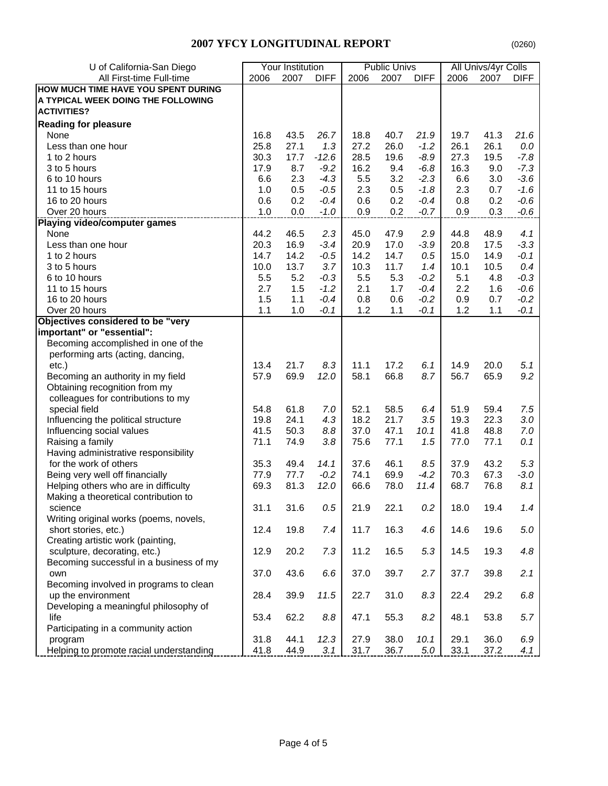### **2007 YFCY LONGITUDINAL REPORT**

| U of California-San Diego                   |             | Your Institution |             |             | <b>Public Univs</b> |                  | All Univs/4yr Colls |            |                  |
|---------------------------------------------|-------------|------------------|-------------|-------------|---------------------|------------------|---------------------|------------|------------------|
| All First-time Full-time                    | 2006        | 2007             | <b>DIFF</b> | 2006        | 2007                | <b>DIFF</b>      | 2006                | 2007       | <b>DIFF</b>      |
| HOW MUCH TIME HAVE YOU SPENT DURING         |             |                  |             |             |                     |                  |                     |            |                  |
| A TYPICAL WEEK DOING THE FOLLOWING          |             |                  |             |             |                     |                  |                     |            |                  |
| <b>ACTIVITIES?</b>                          |             |                  |             |             |                     |                  |                     |            |                  |
| <b>Reading for pleasure</b>                 |             |                  |             |             |                     |                  |                     |            |                  |
| None                                        | 16.8        | 43.5             | 26.7        | 18.8        | 40.7                | 21.9             | 19.7                | 41.3       | 21.6             |
| Less than one hour                          | 25.8        | 27.1             | 1.3         | 27.2        | 26.0                | $-1.2$           | 26.1                | 26.1       | 0.0              |
|                                             | 30.3        | 17.7             | $-12.6$     | 28.5        | 19.6                | $-8.9$           | 27.3                | 19.5       | $-7.8$           |
| 1 to 2 hours<br>3 to 5 hours                |             | 8.7              | $-9.2$      |             | 9.4                 |                  | 16.3                |            |                  |
| 6 to 10 hours                               | 17.9<br>6.6 |                  | $-4.3$      | 16.2<br>5.5 |                     | $-6.8$<br>$-2.3$ |                     | 9.0        | $-7.3$           |
| 11 to 15 hours                              | 1.0         | 2.3<br>0.5       | $-0.5$      | 2.3         | 3.2<br>0.5          |                  | 6.6<br>2.3          | 3.0        | $-3.6$<br>$-1.6$ |
| 16 to 20 hours                              | 0.6         | 0.2              | $-0.4$      |             | 0.2                 | $-1.8$           |                     | 0.7<br>0.2 | $-0.6$           |
| Over 20 hours                               |             | 0.0              | $-1.0$      | 0.6         | 0.2                 | $-0.4$<br>$-0.7$ | 0.8<br>0.9          |            | $-0.6$           |
|                                             | 1.0         |                  |             | 0.9         |                     |                  |                     | 0.3        |                  |
| <b>Playing video/computer games</b><br>None | 44.2        | 46.5             | 2.3         | 45.0        | 47.9                | 2.9              | 44.8                | 48.9       | 4.1              |
| Less than one hour                          | 20.3        | 16.9             | $-3.4$      | 20.9        | 17.0                | $-3.9$           | 20.8                | 17.5       | $-3.3$           |
| 1 to 2 hours                                | 14.7        | 14.2             | $-0.5$      | 14.2        | 14.7                | 0.5              | 15.0                | 14.9       | $-0.1$           |
| 3 to 5 hours                                | 10.0        | 13.7             | 3.7         | 10.3        | 11.7                | 1.4              | 10.1                | 10.5       | 0.4              |
| 6 to 10 hours                               | 5.5         | 5.2              | $-0.3$      | 5.5         | 5.3                 | $-0.2$           | 5.1                 | 4.8        | $-0.3$           |
| 11 to 15 hours                              | 2.7         | 1.5              | $-1.2$      | 2.1         | 1.7                 | $-0.4$           | 2.2                 | 1.6        | $-0.6$           |
| 16 to 20 hours                              |             | 1.1              | $-0.4$      |             | 0.6                 |                  | 0.9                 |            |                  |
| Over 20 hours                               | 1.5<br>1.1  | 1.0              | $-0.1$      | 0.8<br>1.2  | 1.1                 | $-0.2$<br>$-0.1$ | 1.2                 | 0.7<br>1.1 | $-0.2$<br>$-0.1$ |
| Objectives considered to be "very           |             |                  |             |             |                     |                  |                     |            |                  |
| important" or "essential":                  |             |                  |             |             |                     |                  |                     |            |                  |
| Becoming accomplished in one of the         |             |                  |             |             |                     |                  |                     |            |                  |
| performing arts (acting, dancing,           |             |                  |             |             |                     |                  |                     |            |                  |
| $etc.$ )                                    | 13.4        | 21.7             | 8.3         | 11.1        | 17.2                | 6.1              | 14.9                | 20.0       | 5.1              |
| Becoming an authority in my field           | 57.9        | 69.9             | 12.0        | 58.1        | 66.8                | 8.7              | 56.7                | 65.9       | 9.2              |
| Obtaining recognition from my               |             |                  |             |             |                     |                  |                     |            |                  |
| colleagues for contributions to my          |             |                  |             |             |                     |                  |                     |            |                  |
| special field                               | 54.8        | 61.8             | 7.0         | 52.1        | 58.5                | 6.4              | 51.9                | 59.4       | 7.5              |
| Influencing the political structure         | 19.8        | 24.1             | 4.3         | 18.2        | 21.7                | 3.5              | 19.3                | 22.3       | 3.0              |
| Influencing social values                   | 41.5        | 50.3             | 8.8         | 37.0        | 47.1                | 10.1             | 41.8                | 48.8       | 7.0              |
| Raising a family                            | 71.1        | 74.9             | 3.8         | 75.6        | 77.1                | 1.5              | 77.0                | 77.1       | 0.1              |
| Having administrative responsibility        |             |                  |             |             |                     |                  |                     |            |                  |
| for the work of others                      | 35.3        | 49.4             | 14.1        | 37.6        | 46.1                | 8.5              | 37.9                | 43.2       | 5.3              |
| Being very well off financially             | 77.9        | 77.7             | $-0.2$      | 74.1        | 69.9                | $-4.2$           | 70.3                | 67.3       | $-3.0$           |
| Helping others who are in difficulty        | 69.3        | 81.3             | 12.0        | 66.6        | 78.0                | 11.4             | 68.7                | 76.8       | 8.1              |
| Making a theoretical contribution to        |             |                  |             |             |                     |                  |                     |            |                  |
| science                                     | 31.1        | 31.6             | 0.5         | 21.9        | 22.1                | 0.2              | 18.0                | 19.4       | 1.4              |
| Writing original works (poems, novels,      |             |                  |             |             |                     |                  |                     |            |                  |
| short stories, etc.)                        | 12.4        | 19.8             | 7.4         | 11.7        | 16.3                | 4.6              | 14.6                | 19.6       | $5.0\,$          |
| Creating artistic work (painting,           |             |                  |             |             |                     |                  |                     |            |                  |
| sculpture, decorating, etc.)                | 12.9        | 20.2             | 7.3         | 11.2        | 16.5                | 5.3              | 14.5                | 19.3       | 4.8              |
| Becoming successful in a business of my     |             |                  |             |             |                     |                  |                     |            |                  |
| own                                         | 37.0        | 43.6             | 6.6         | 37.0        | 39.7                | 2.7              | 37.7                | 39.8       | 2.1              |
| Becoming involved in programs to clean      |             |                  |             |             |                     |                  |                     |            |                  |
| up the environment                          | 28.4        | 39.9             | 11.5        | 22.7        | 31.0                | 8.3              | 22.4                | 29.2       | $6.8\,$          |
| Developing a meaningful philosophy of       |             |                  |             |             |                     |                  |                     |            |                  |
| life                                        | 53.4        | 62.2             | 8.8         | 47.1        | 55.3                | 8.2              | 48.1                | 53.8       | 5.7              |
| Participating in a community action         |             |                  |             |             |                     |                  |                     |            |                  |
| program                                     | 31.8        | 44.1             | 12.3        | 27.9        | 38.0                | 10.1             | 29.1                | 36.0       | 6.9              |
| Helping to promote racial understanding     | 41.8        | 44.9             | 3.1         | 31.7        | 36.7                | 5.0              | 33.1                | 37.2       | 4.1              |